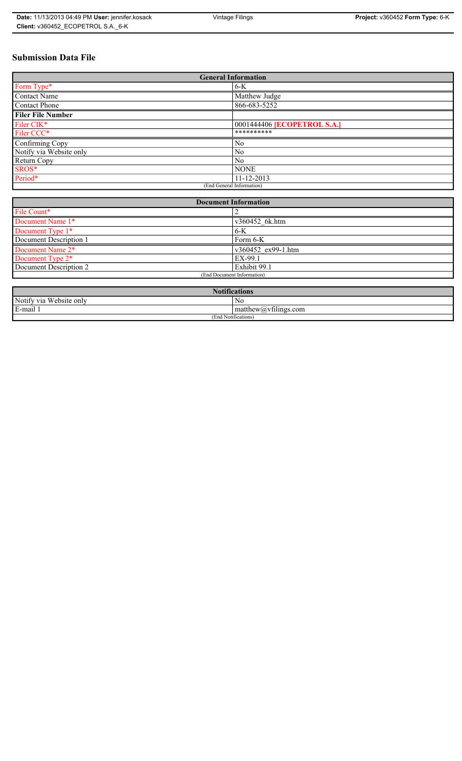# **Submission Data File**

| <b>General Information</b> |                             |
|----------------------------|-----------------------------|
| Form Type*                 | $6-K$                       |
| <b>Contact Name</b>        | Matthew Judge               |
| <b>Contact Phone</b>       | 866-683-5252                |
| <b>Filer File Number</b>   |                             |
| Filer CIK*                 | 0001444406 [ECOPETROL S.A.] |
| Filer CCC*                 | **********                  |
| Confirming Copy            | N <sub>0</sub>              |
| Notify via Website only    | N <sub>0</sub>              |
| Return Copy                | N <sub>0</sub>              |
| SROS*                      | <b>NONE</b>                 |
| Period*                    | 11-12-2013                  |
| (End General Information)  |                             |

| <b>Document Information</b> |                    |
|-----------------------------|--------------------|
| File Count*                 |                    |
| Document Name 1*            | v360452 6k.htm     |
| Document Type 1*            | $6-K$              |
| Document Description 1      | Form 6-K           |
| Document Name 2*            | v360452 ex99-1.htm |
| Document Type 2*            | EX-99.1            |
| Document Description 2      | Exhibit 99.1       |
| (End Document Information)  |                    |
|                             |                    |

| <b>Notifications</b>                 |                                                   |
|--------------------------------------|---------------------------------------------------|
| Website only<br>Notify via           | No                                                |
| $\sim$<br>$\blacksquare$<br>E-mail 1 | $\sim$ 1.<br>$math>math>matrix(a)$ , villings.com |
| (End Notifications)                  |                                                   |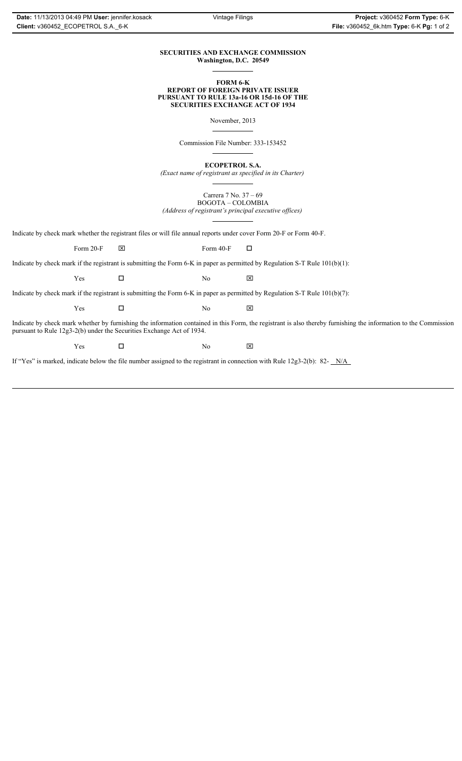### **SECURITIES AND EXCHANGE COMMISSION Washington, D.C. 20549**

### **FORM 6-K REPORT OF FOREIGN PRIVATE ISSUER PURSUANT TO RULE 13a-16 OR 15d-16 OF THE SECURITIES EXCHANGE ACT OF 1934**

November, 2013

Commission File Number: 333-153452

**ECOPETROL S.A.**

*(Exact name of registrant as specified in its Charter)*

Carrera 7 No. 37 – 69 BOGOTA – COLOMBIA *(Address of registrant's principal executive offices)*

Indicate by check mark whether the registrant files or will file annual reports under cover Form 20-F or Form 40-F.

Form 20-F  $\boxtimes$  Form 40-F  $\Box$ 

Indicate by check mark if the registrant is submitting the Form 6-K in paper as permitted by Regulation S-T Rule 101(b)(1):

 $Yes$   $\Box$  No  $X$ 

Indicate by check mark if the registrant is submitting the Form 6-K in paper as permitted by Regulation S-T Rule 101(b)(7):

 $Yes$   $\Box$  No  $X$ 

Indicate by check mark whether by furnishing the information contained in this Form, the registrant is also thereby furnishing the information to the Commission pursuant to Rule 12g3-2(b) under the Securities Exchange Act of 1934.

 $Yes$   $\Box$  No  $X$ 

If "Yes" is marked, indicate below the file number assigned to the registrant in connection with Rule 12g3-2(b): 82- N/A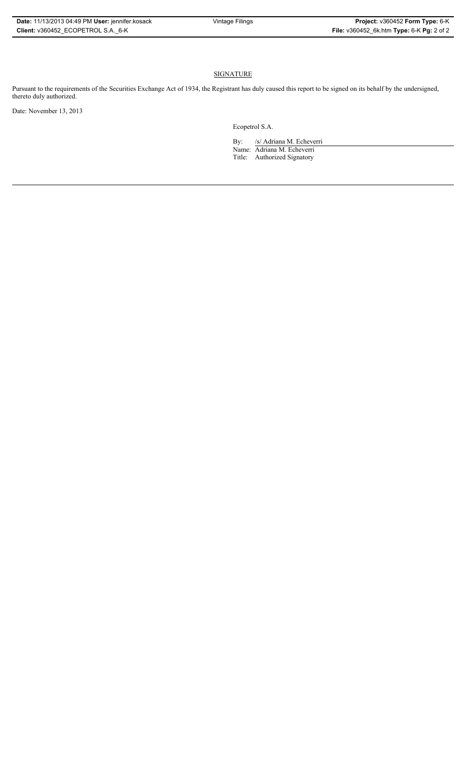# **SIGNATURE**

Pursuant to the requirements of the Securities Exchange Act of 1934, the Registrant has duly caused this report to be signed on its behalf by the undersigned, thereto duly authorized.

Date: November 13, 2013

Ecopetrol S.A.

By: /s/ Adriana M. Echeverri Name: Adriana M. Echeverri Title: Authorized Signatory